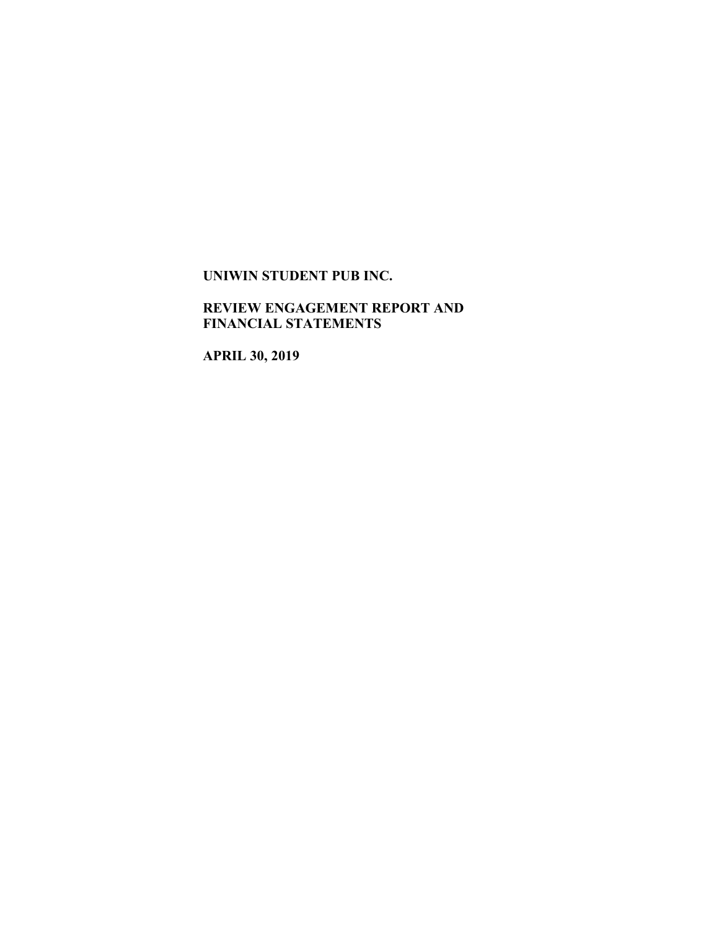## **REVIEW ENGAGEMENT REPORT AND FINANCIAL STATEMENTS**

**APRIL 30, 2019**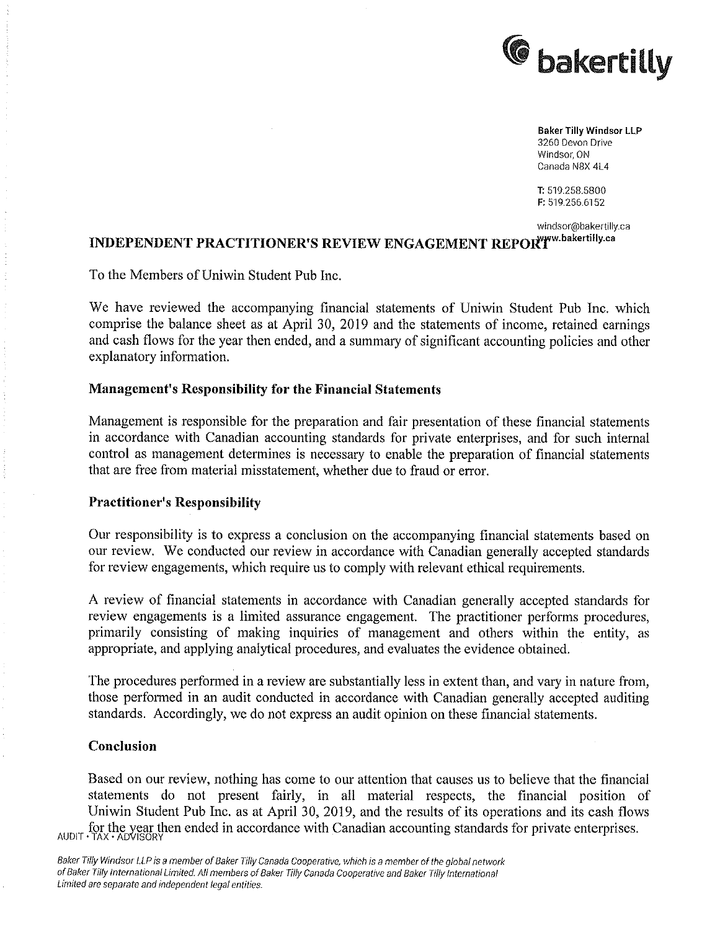

Baker TiIIyWindsor LLP 3260 Devon Drive Windsor. ON Canada N8X 41.4

T: 519.258.5800 F: 519.256.6152

windscr@bakertilly.ca

# INDEPENDENT PRACTITIONER'S REVIEW ENGAGEMENT REPORTWW.bakertilly.ca

To the Members of Uniwin Student Pub Inc.

We have reviewed the accompanying financial statements of Uniwin Student Pub Inc. which comprise the balance sheet as at April 30, 2019 and the statements of income, retained earnings and cash flows for the year then ended, and summary of significant accounting policies and other explanatory information.

### Management's Responsibility for the Financial Statements

Management is responsible for the preparation and fair presentation of these financial statements in accordance with Canadian accounting standards for private enterprises, and for such internai control as management determines is necessary to enable the preparation of financial statements that are free from material misstatement, whether due to fraud or error.

### Practitioner's Responsibility

Our responsibility is to express a conclusion on the accompanying financial statements based on our review. We conducted our review in accordance with Canadian generally accepted standards for review engagements, which require us to comply with relevant ethical requirements.

A review of financial statements in accordance with Canadian generally accepted standards for review engagements is a limited assurance engagement. The practitioner performs procedures, primarily consisting of making inquiries of management and others within the entity, as appropriate, and applying analytical procedures, and evaluates the evidence obtained.

The procedures performed in a review are substantially less in extent than, and vary in nature from, those performed in an audit conducted in accordance with Canadian generally accepted auditing standards. Accordingly, we do not express an audit opinion on these financial statements.

### Conclusion

Based on our review, nothing has come to our attention that causes us to believe that the financial statements do not present fairly, in all material respects, the financial position of Uniwin Student Pub Inc. as at April 30, 2019, and the results of its operations and its cash flows AUDIT . TAX ADVISORY for the year then ended in accordance with Canadian accounting standards for private enterprises.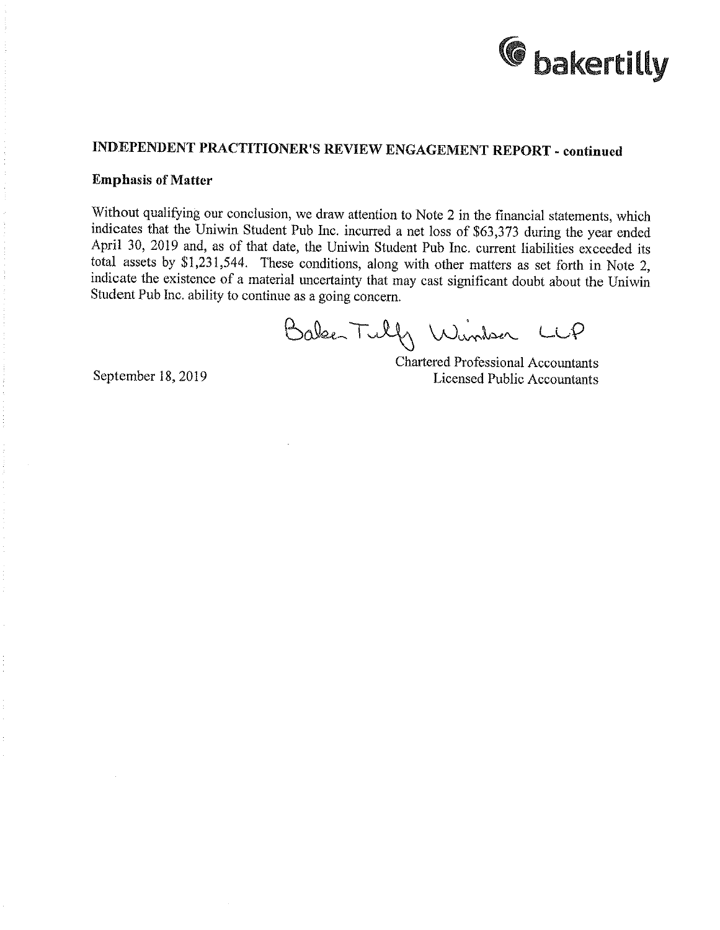

## INDEPENDENT PRACTITIONER'S REVIEW ENGAGEMENT REPORT - continued

#### Emphasis of Matter

Without qualifying our conclusion, we draw attention to Note 2 in the financial statements, which indicates that the Uniwin Student Pub Inc. incurred a net loss of \$63,373 during the year ended April 30, 2019 and, as of that date, the Uniwin Student Pub Inc. current liabilities exceeded its total assets by \$1,231,544. These conditions, along with other matters as set forth in Note 2, indicate the existence of material uncertainty that may cast significant doubt about the Uniwin Student Pub Inc. ability to continue as a going concern.

Baker Tulf Window LCP

Chartered Professional Accountants September 18, 2019 Licensed Public Accountants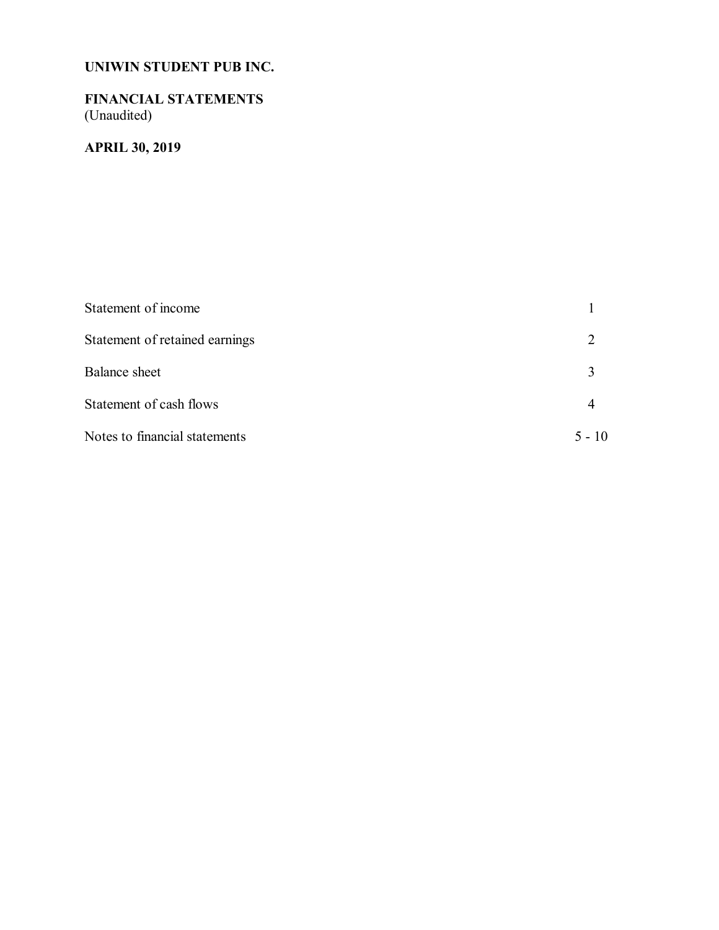## **FINANCIAL STATEMENTS** (Unaudited)

## **APRIL 30, 2019**

| Statement of income            |          |
|--------------------------------|----------|
| Statement of retained earnings |          |
| <b>Balance</b> sheet           |          |
| Statement of cash flows        |          |
| Notes to financial statements  | $5 - 10$ |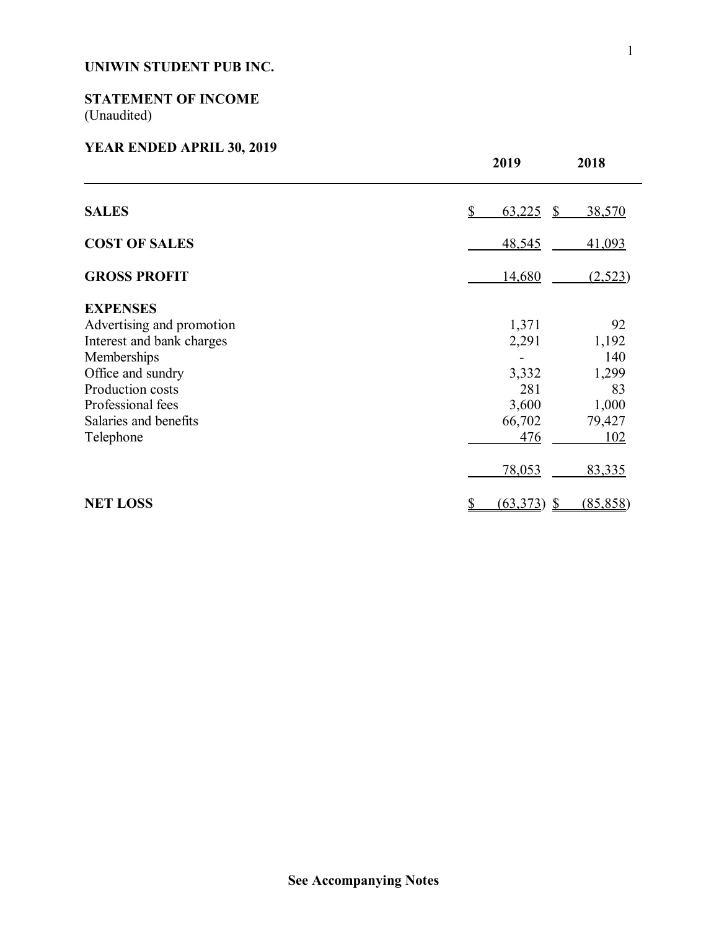## **STATEMENT OF INCOME** (Unaudited)

## **YEAR ENDED APRIL 30, 2019**

|                           | 2019               | 2018      |
|---------------------------|--------------------|-----------|
| <b>SALES</b>              | \$<br>$63,225$ \$  | 38,570    |
| <b>COST OF SALES</b>      | 48,545             | 41,093    |
| <b>GROSS PROFIT</b>       | 14,680             | (2,523)   |
| <b>EXPENSES</b>           |                    |           |
| Advertising and promotion | 1,371              | 92        |
| Interest and bank charges | 2,291              | 1,192     |
| Memberships               |                    | 140       |
| Office and sundry         | 3,332              | 1,299     |
| Production costs          | 281                | 83        |
| Professional fees         | 3,600              | 1,000     |
| Salaries and benefits     | 66,702             | 79,427    |
| Telephone                 | 476                | 102       |
|                           | 78,053             | 83,335    |
| <b>NET LOSS</b>           | $(63,373)$ \$<br>S | (85, 858) |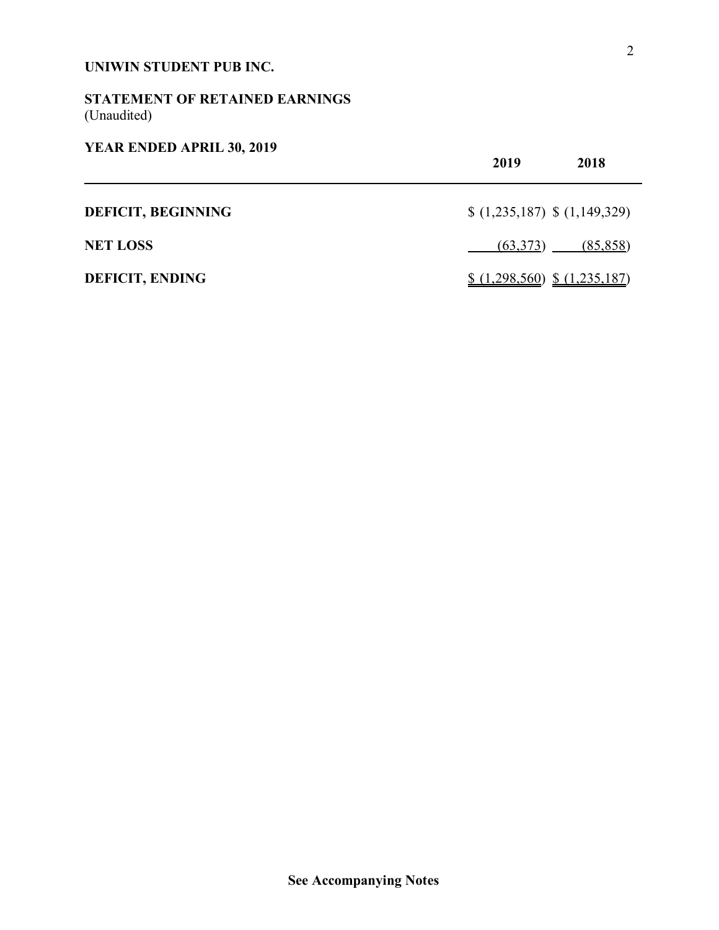## **STATEMENT OF RETAINED EARNINGS** (Unaudited)

## **YEAR ENDED APRIL 30, 2019**

|                           | 2019<br>2018                   |  |
|---------------------------|--------------------------------|--|
| <b>DEFICIT, BEGINNING</b> | $(1,235,187)$ \$ $(1,149,329)$ |  |
| <b>NET LOSS</b>           | (63,373)<br>(85, 858)          |  |
| <b>DEFICIT, ENDING</b>    | $(1,298,560)$ $(1,235,187)$    |  |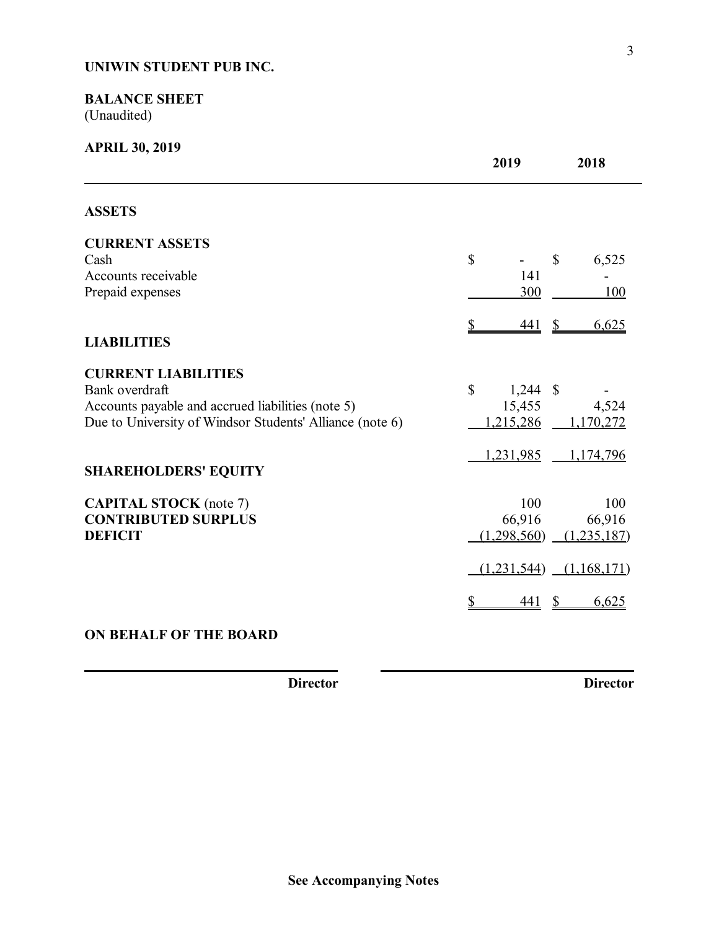## **BALANCE SHEET** (Unaudited)

| <b>APRIL 30, 2019</b>                                                                                                                                         | 2019                                            | 2018                         |
|---------------------------------------------------------------------------------------------------------------------------------------------------------------|-------------------------------------------------|------------------------------|
| <b>ASSETS</b>                                                                                                                                                 |                                                 |                              |
| <b>CURRENT ASSETS</b><br>Cash<br>Accounts receivable<br>Prepaid expenses                                                                                      | $\mathbb{S}$<br>$\mathbb{S}$<br>141<br>300      | 6,525<br>100                 |
| <b>LIABILITIES</b>                                                                                                                                            | 441<br>$\frac{1}{2}$<br>\$                      | 6,625                        |
| <b>CURRENT LIABILITIES</b><br>Bank overdraft<br>Accounts payable and accrued liabilities (note 5)<br>Due to University of Windsor Students' Alliance (note 6) | $\mathbb{S}$<br>$1,244$ \$<br>15,455<br>215,286 | 4,524<br>1,170,272           |
| <b>SHAREHOLDERS' EQUITY</b>                                                                                                                                   | 1,231,985                                       | 1,174,796                    |
| <b>CAPITAL STOCK</b> (note 7)<br><b>CONTRIBUTED SURPLUS</b><br><b>DEFICIT</b>                                                                                 | 100<br>66,916<br>(1,298,560)                    | 100<br>66,916<br>(1,235,187) |
|                                                                                                                                                               | (1,231,544)<br><u>441</u><br>S                  | (1,168,171)<br>6,625         |
|                                                                                                                                                               |                                                 |                              |

## **ON BEHALF OF THE BOARD**

**Director Director**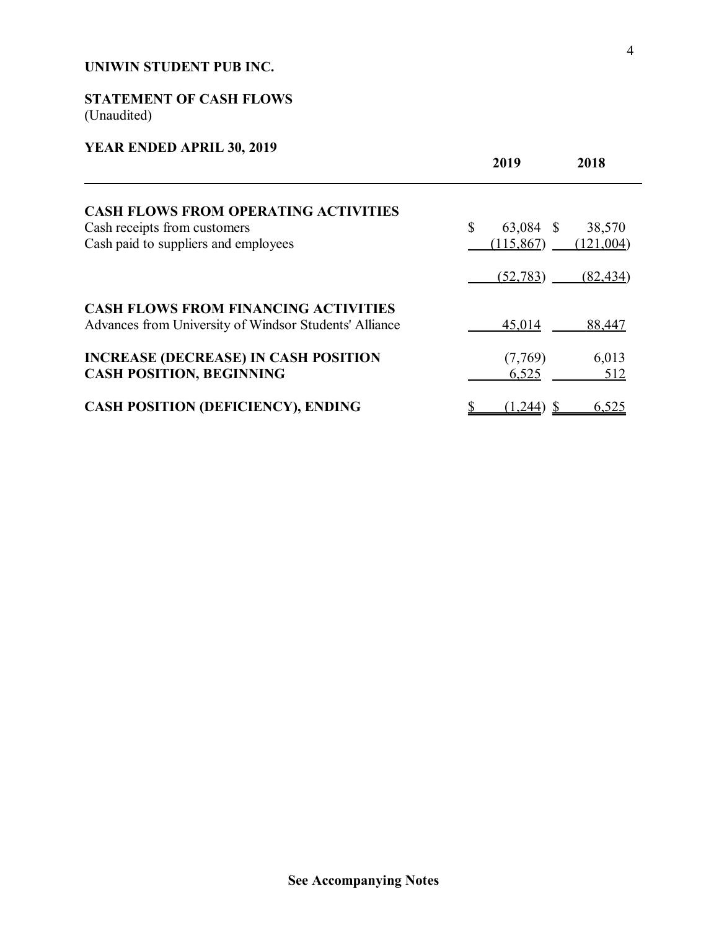## **STATEMENT OF CASH FLOWS** (Unaudited)

## **YEAR ENDED APRIL 30, 2019**

|                                                                                                       | 2019<br>2018                        |  |
|-------------------------------------------------------------------------------------------------------|-------------------------------------|--|
| <b>CASH FLOWS FROM OPERATING ACTIVITIES</b>                                                           |                                     |  |
| Cash receipts from customers                                                                          | $\mathbb{S}$<br>63,084 \$<br>38,570 |  |
| Cash paid to suppliers and employees                                                                  | (115, 867)<br>(121,004)             |  |
|                                                                                                       | (52, 783)<br>(82, 434)              |  |
| <b>CASH FLOWS FROM FINANCING ACTIVITIES</b><br>Advances from University of Windsor Students' Alliance | 45,014<br>88,447                    |  |
| <b>INCREASE (DECREASE) IN CASH POSITION</b>                                                           | 6,013<br>(7,769)                    |  |
| <b>CASH POSITION, BEGINNING</b>                                                                       | 6,525<br>512                        |  |
| <b>CASH POSITION (DEFICIENCY), ENDING</b>                                                             | 6,525<br>(1,244)                    |  |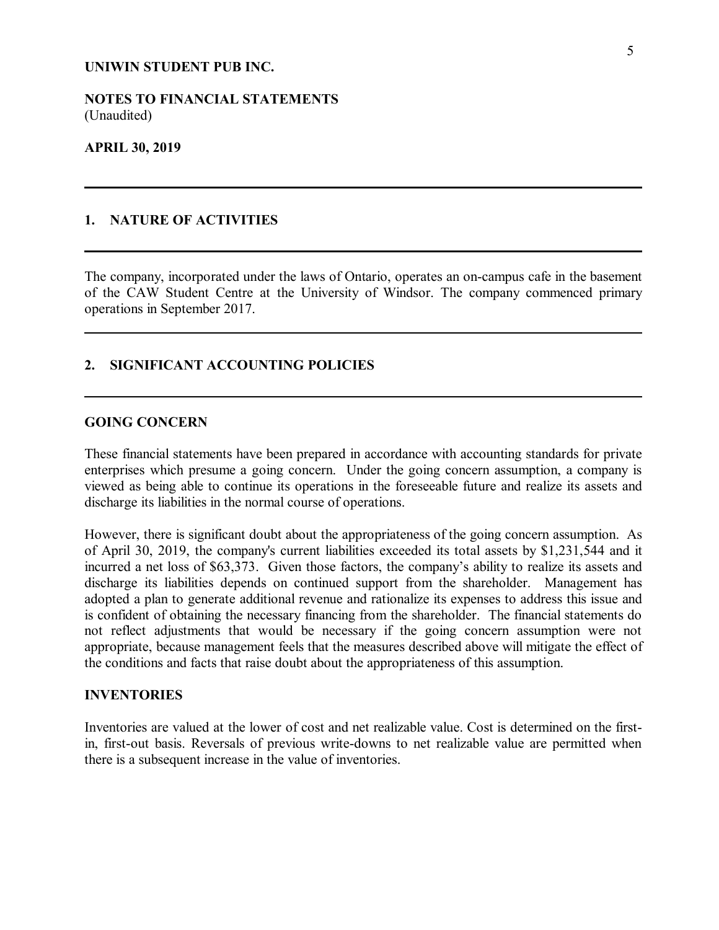**NOTES TO FINANCIAL STATEMENTS** (Unaudited)

#### **APRIL 30, 2019**

### **1. NATURE OF ACTIVITIES**

The company, incorporated under the laws of Ontario, operates an on-campus cafe in the basement of the CAW Student Centre at the University of Windsor. The company commenced primary operations in September 2017.

### **2. SIGNIFICANT ACCOUNTING POLICIES**

### **GOING CONCERN**

These financial statements have been prepared in accordance with accounting standards for private enterprises which presume a going concern. Under the going concern assumption, a company is viewed as being able to continue its operations in the foreseeable future and realize its assets and discharge its liabilities in the normal course of operations.

However, there is significant doubt about the appropriateness of the going concern assumption. As of April 30, 2019, the company's current liabilities exceeded its total assets by \$1,231,544 and it incurred a net loss of \$63,373. Given those factors, the company's ability to realize its assets and discharge its liabilities depends on continued support from the shareholder. Management has adopted a plan to generate additional revenue and rationalize its expenses to address this issue and is confident of obtaining the necessary financing from the shareholder. The financial statements do not reflect adjustments that would be necessary if the going concern assumption were not appropriate, because management feels that the measures described above will mitigate the effect of the conditions and facts that raise doubt about the appropriateness of this assumption.

#### **INVENTORIES**

Inventories are valued at the lower of cost and net realizable value. Cost is determined on the firstin, first-out basis. Reversals of previous write-downs to net realizable value are permitted when there is a subsequent increase in the value of inventories.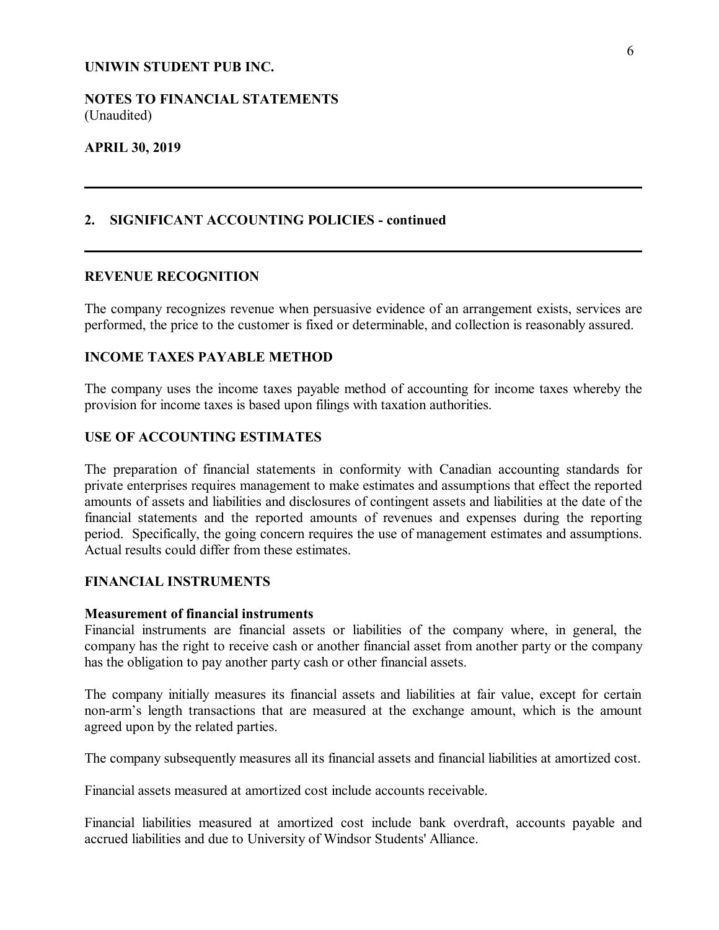**NOTES TO FINANCIAL STATEMENTS** (Unaudited)

#### **APRIL 30, 2019**

## **2. SIGNIFICANT ACCOUNTING POLICIES - continued**

#### **REVENUE RECOGNITION**

The company recognizes revenue when persuasive evidence of an arrangement exists, services are performed, the price to the customer is fixed or determinable, and collection is reasonably assured.

### **INCOME TAXES PAYABLE METHOD**

The company uses the income taxes payable method of accounting for income taxes whereby the provision for income taxes is based upon filings with taxation authorities.

#### **USE OF ACCOUNTING ESTIMATES**

The preparation of financial statements in conformity with Canadian accounting standards for private enterprises requires management to make estimates and assumptions that effect the reported amounts of assets and liabilities and disclosures of contingent assets and liabilities at the date of the financial statements and the reported amounts of revenues and expenses during the reporting period. Specifically, the going concern requires the use of management estimates and assumptions. Actual results could differ from these estimates.

## **FINANCIAL INSTRUMENTS**

#### **Measurement of financial instruments**

Financial instruments are financial assets or liabilities of the company where, in general, the company has the right to receive cash or another financial asset from another party or the company has the obligation to pay another party cash or other financial assets.

The company initially measures its financial assets and liabilities at fair value, except for certain non-arm's length transactions that are measured at the exchange amount, which is the amount agreed upon by the related parties.

The company subsequently measures all its financial assets and financial liabilities at amortized cost.

Financial assets measured at amortized cost include accounts receivable.

Financial liabilities measured at amortized cost include bank overdraft, accounts payable and accrued liabilities and due to University of Windsor Students' Alliance.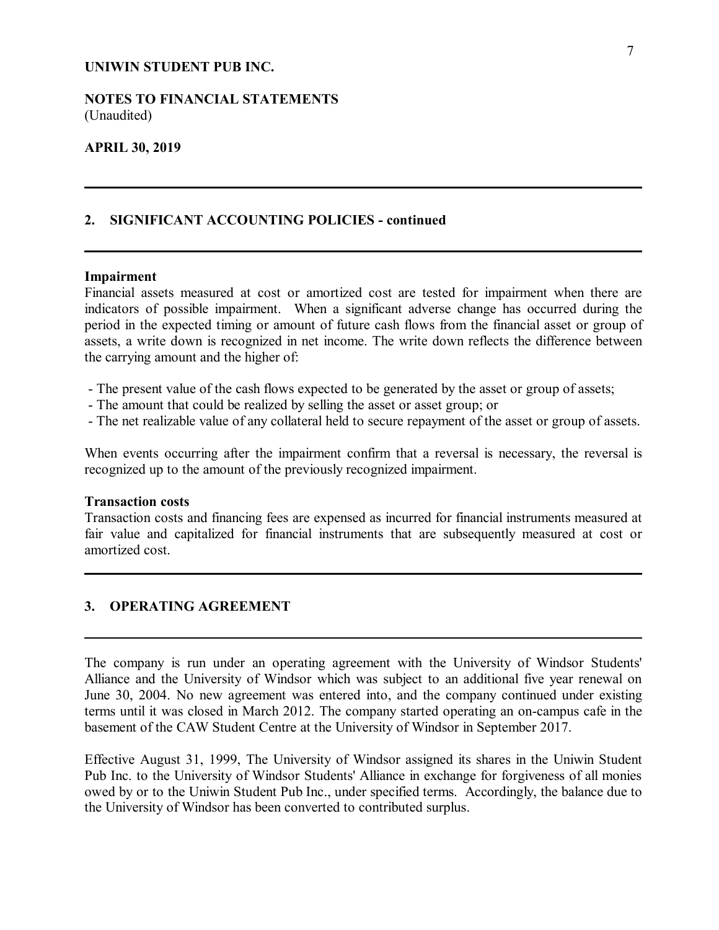### **NOTES TO FINANCIAL STATEMENTS** (Unaudited)

#### **APRIL 30, 2019**

#### **2. SIGNIFICANT ACCOUNTING POLICIES - continued**

#### **Impairment**

Financial assets measured at cost or amortized cost are tested for impairment when there are indicators of possible impairment. When a significant adverse change has occurred during the period in the expected timing or amount of future cash flows from the financial asset or group of assets, a write down is recognized in net income. The write down reflects the difference between the carrying amount and the higher of:

- The present value of the cash flows expected to be generated by the asset or group of assets;
- The amount that could be realized by selling the asset or asset group; or
- The net realizable value of any collateral held to secure repayment of the asset or group of assets.

When events occurring after the impairment confirm that a reversal is necessary, the reversal is recognized up to the amount of the previously recognized impairment.

#### **Transaction costs**

Transaction costs and financing fees are expensed as incurred for financial instruments measured at fair value and capitalized for financial instruments that are subsequently measured at cost or amortized cost.

### **3. OPERATING AGREEMENT**

The company is run under an operating agreement with the University of Windsor Students' Alliance and the University of Windsor which was subject to an additional five year renewal on June 30, 2004. No new agreement was entered into, and the company continued under existing terms until it was closed in March 2012. The company started operating an on-campus cafe in the basement of the CAW Student Centre at the University of Windsor in September 2017.

Effective August 31, 1999, The University of Windsor assigned its shares in the Uniwin Student Pub Inc. to the University of Windsor Students' Alliance in exchange for forgiveness of all monies owed by or to the Uniwin Student Pub Inc., under specified terms. Accordingly, the balance due to the University of Windsor has been converted to contributed surplus.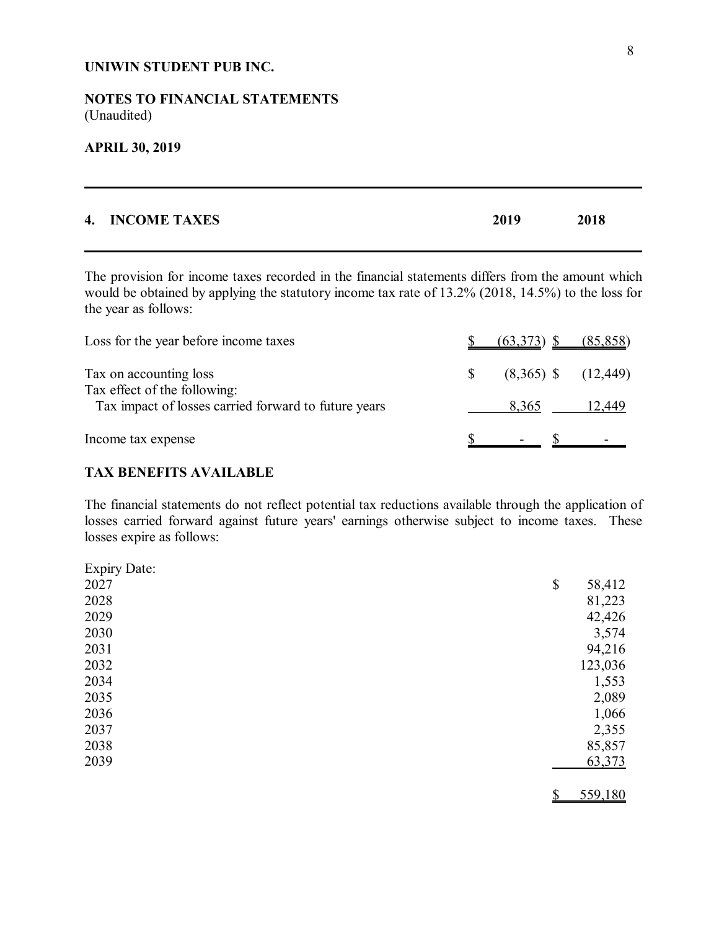## **NOTES TO FINANCIAL STATEMENTS** (Unaudited)

#### **APRIL 30, 2019**

| 4. INCOME TAXES | 2019 | 2018 |  |
|-----------------|------|------|--|
|                 |      |      |  |

The provision for income taxes recorded in the financial statements differs from the amount which would be obtained by applying the statutory income tax rate of 13.2% (2018, 14.5%) to the loss for the year as follows:

| Loss for the year before income taxes                                                | $(63,373)$ \$ $(85,858)$        |        |
|--------------------------------------------------------------------------------------|---------------------------------|--------|
| Tax on accounting loss                                                               | $(8,365)$ \$ $(12,449)$         |        |
| Tax effect of the following:<br>Tax impact of losses carried forward to future years | 8,365                           | 12,449 |
| Income tax expense                                                                   | $\mathcal{D}$ - $\mathcal{D}$ - |        |

### **TAX BENEFITS AVAILABLE**

The financial statements do not reflect potential tax reductions available through the application of losses carried forward against future years' earnings otherwise subject to income taxes. These losses expire as follows:

| <b>Expiry Date:</b> |               |
|---------------------|---------------|
| 2027                | \$<br>58,412  |
| 2028                | 81,223        |
| 2029                | 42,426        |
| 2030                | 3,574         |
| 2031                | 94,216        |
| 2032                | 123,036       |
| 2034                | 1,553         |
| 2035                | 2,089         |
| 2036                | 1,066         |
| 2037                | 2,355         |
| 2038                | 85,857        |
| 2039                | 63,373        |
|                     | 559,180<br>\$ |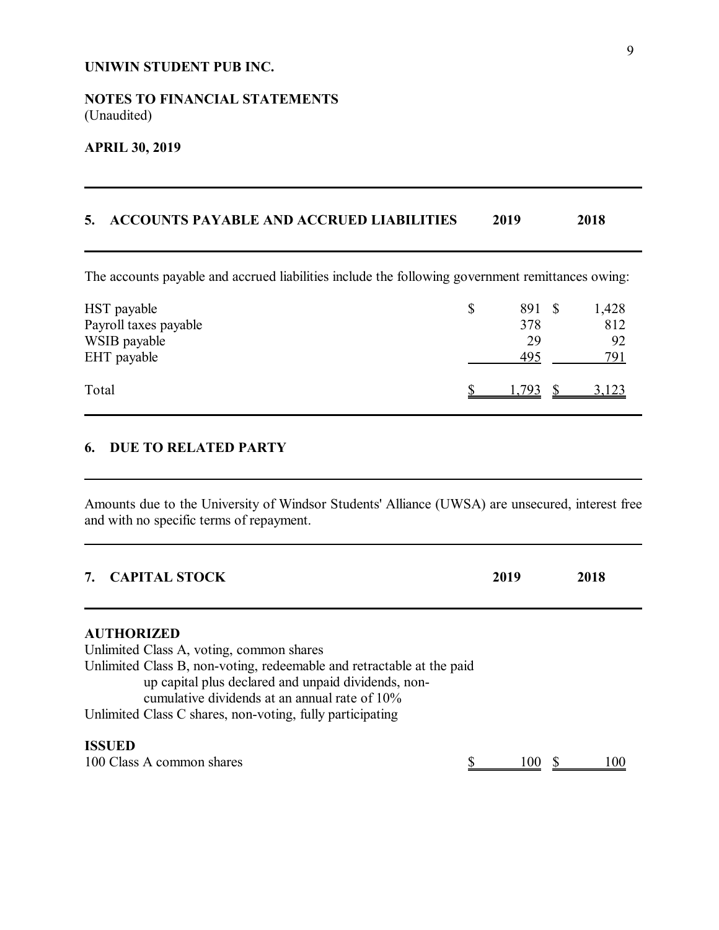## **NOTES TO FINANCIAL STATEMENTS** (Unaudited)

## **APRIL 30, 2019**

## **5. ACCOUNTS PAYABLE AND ACCRUED LIABILITIES 2019 2018**

The accounts payable and accrued liabilities include the following government remittances owing:

| HST payable<br>Payroll taxes payable<br>WSIB payable<br>EHT payable | \$<br>891 \$<br>378<br>29<br>495 | 1,428<br>812<br>92<br>791 |
|---------------------------------------------------------------------|----------------------------------|---------------------------|
| Total                                                               | 1 793                            | 3,123                     |

## **6. DUE TO RELATED PARTY**

Amounts due to the University of Windsor Students' Alliance (UWSA) are unsecured, interest free and with no specific terms of repayment.

| <b>CAPITAL STOCK</b>                                                                                                                                                                                                                           | 2019   | 2018 |  |
|------------------------------------------------------------------------------------------------------------------------------------------------------------------------------------------------------------------------------------------------|--------|------|--|
| <b>AUTHORIZED</b><br>Unlimited Class A, voting, common shares<br>Unlimited Class B, non-voting, redeemable and retractable at the paid<br>up capital plus declared and unpaid dividends, non-<br>cumulative dividends at an annual rate of 10% |        |      |  |
| Unlimited Class C shares, non-voting, fully participating                                                                                                                                                                                      |        |      |  |
| <b>ISSUED</b><br>100 Class A common shares                                                                                                                                                                                                     | l ()() |      |  |